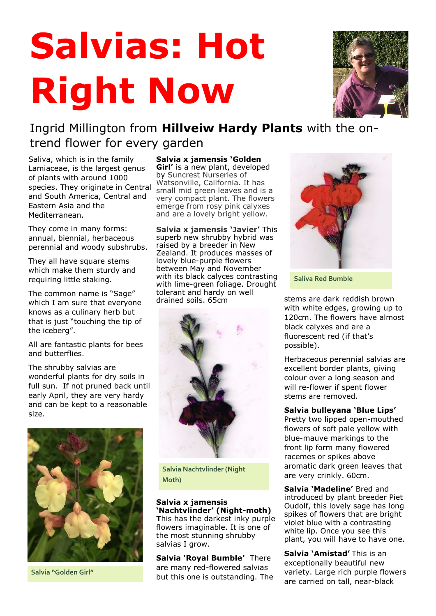## **Salvias: Hot Right Now**



## Ingrid Millington from **Hillveiw Hardy Plants** with the ontrend flower for every garden

Saliva, which is in the family Lamiaceae, is the largest genus of plants with around 1000 species. They originate in Central and South America, Central and Eastern Asia and the Mediterranean.

They come in many forms: annual, biennial, herbaceous perennial and woody subshrubs.

They all have square stems which make them sturdy and requiring little staking.

The common name is "Sage" which I am sure that everyone knows as a culinary herb but that is just "touching the tip of the iceberg".

All are fantastic plants for bees and butterflies.

The shrubby salvias are wonderful plants for dry soils in full sun. If not pruned back until early April, they are very hardy and can be kept to a reasonable size.



**Salvia "Golden Girl"**

**Salvia x jamensis 'Golden Girl'** is a new plant, developed by Suncrest Nurseries of Watsonville, California. It has small mid green leaves and is a very compact plant. The flowers emerge from rosy pink calyxes and are a lovely bright yellow.

**Salvia x jamensis 'Javier'** This superb new shrubby hybrid was raised by a breeder in New Zealand. It produces masses of lovely blue-purple flowers between May and November with its black calyces contrasting with lime-green foliage. Drought tolerant and hardy on well drained soils. 65cm



**Salvia Nachtvlinder (Night Moth)**

**Salvia x jamensis 'Nachtvlinder' (Night-moth) T**his has the darkest inky purple flowers imaginable. It is one of the most stunning shrubby salvias I grow.

**Salvia 'Royal Bumble'** There are many red-flowered salvias but this one is outstanding. The



**Saliva Red Bumble**

stems are dark reddish brown with white edges, growing up to 120cm. The flowers have almost black calyxes and are a fluorescent red (if that's possible).

Herbaceous perennial salvias are excellent border plants, giving colour over a long season and will re-flower if spent flower stems are removed.

## **Salvia bulleyana 'Blue Lips'**

Pretty two lipped open-mouthed flowers of soft pale yellow with blue-mauve markings to the front lip form many flowered racemes or spikes above aromatic dark green leaves that are very crinkly. 60cm.

**Salvia 'Madeline'** Bred and introduced by plant breeder Piet Oudolf, this lovely sage has long spikes of flowers that are bright violet blue with a contrasting white lip. Once you see this plant, you will have to have one.

**Salvia 'Amistad'** This is an exceptionally beautiful new variety. Large rich purple flowers are carried on tall, near-black